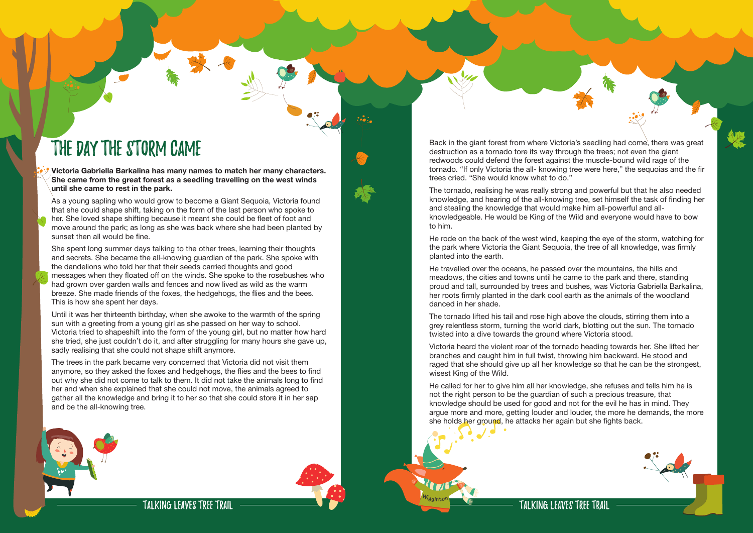

The Day the Storm Came **Victoria Gabriella Barkalina has many names to match her many characters. She came from the great forest as a seedling travelling on the west winds until she came to rest in the park.** 

As a young sapling who would grow to become a Giant Sequoia, Victoria found that she could shape shift, taking on the form of the last person who spoke to her. She loved shape shifting because it meant she could be fleet of foot and move around the park; as long as she was back where she had been planted by sunset then all would be fine.

She spent long summer days talking to the other trees, learning their thoughts and secrets. She became the all-knowing guardian of the park. She spoke with the dandelions who told her that their seeds carried thoughts and good messages when they floated off on the winds. She spoke to the rosebushes who had grown over garden walls and fences and now lived as wild as the warm breeze. She made friends of the foxes, the hedgehogs, the flies and the bees. This is how she spent her days.

Until it was her thirteenth birthday, when she awoke to the warmth of the spring sun with a greeting from a young girl as she passed on her way to school. Victoria tried to shapeshift into the form of the young girl, but no matter how hard she tried, she just couldn't do it, and after struggling for many hours she gave up, sadly realising that she could not shape shift anymore.

The trees in the park became very concerned that Victoria did not visit them anymore, so they asked the foxes and hedgehogs, the flies and the bees to find out why she did not come to talk to them. It did not take the animals long to find her and when she explained that she could not move, the animals agreed to gather all the knowledge and bring it to her so that she could store it in her sap and be the all-knowing tree.





He called for her to give him all her knowledge, she refuses and tells him he is not the right person to be the guardian of such a precious treasure, that knowledge should be used for good and not for the evil he has in mind. They argue more and more, getting louder and louder, the more he demands, the more she holds her ground, he attacks her again but she fights back.

Back in the giant forest from where Victoria's seedling had come, there was great destruction as a tornado tore its way through the trees; not even the giant redwoods could defend the forest against the muscle-bound wild rage of the tornado. "If only Victoria the all- knowing tree were here," the sequoias and the fir trees cried. "She would know what to do."

The tornado, realising he was really strong and powerful but that he also needed knowledge, and hearing of the all-knowing tree, set himself the task of finding her and stealing the knowledge that would make him all-powerful and allknowledgeable. He would be King of the Wild and everyone would have to bow to him.

He rode on the back of the west wind, keeping the eye of the storm, watching for the park where Victoria the Giant Sequoia, the tree of all knowledge, was firmly planted into the earth.

He travelled over the oceans, he passed over the mountains, the hills and meadows, the cities and towns until he came to the park and there, standing proud and tall, surrounded by trees and bushes, was Victoria Gabriella Barkalina, her roots firmly planted in the dark cool earth as the animals of the woodland danced in her shade.

The tornado lifted his tail and rose high above the clouds, stirring them into a grey relentless storm, turning the world dark, blotting out the sun. The tornado twisted into a dive towards the ground where Victoria stood.

Victoria heard the violent roar of the tornado heading towards her. She lifted her branches and caught him in full twist, throwing him backward. He stood and raged that she should give up all her knowledge so that he can be the strongest, wisest King of the Wild.